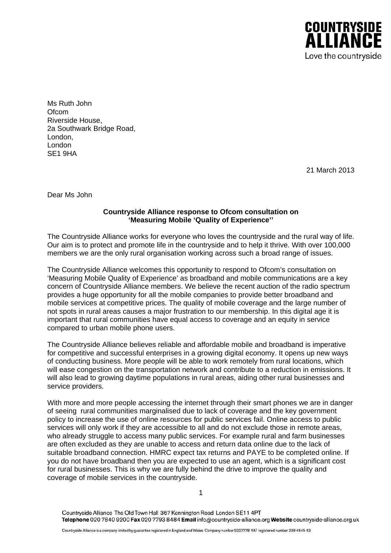

Ms Ruth John Ofcom Riverside House, 2a Southwark Bridge Road, London, London SE1 9HA

21 March 2013

Dear Ms John

## **Countryside Alliance response to Ofcom consultation on 'Measuring Mobile 'Quality of Experience''**

The Countryside Alliance works for everyone who loves the countryside and the rural way of life. Our aim is to protect and promote life in the countryside and to help it thrive. With over 100,000 members we are the only rural organisation working across such a broad range of issues.

The Countryside Alliance welcomes this opportunity to respond to Ofcom's consultation on 'Measuring Mobile Quality of Experience' as broadband and mobile communications are a key concern of Countryside Alliance members. We believe the recent auction of the radio spectrum provides a huge opportunity for all the mobile companies to provide better broadband and mobile services at competitive prices. The quality of mobile coverage and the large number of not spots in rural areas causes a major frustration to our membership. In this digital age it is important that rural communities have equal access to coverage and an equity in service compared to urban mobile phone users.

The Countryside Alliance believes reliable and affordable mobile and broadband is imperative for competitive and successful enterprises in a growing digital economy. It opens up new ways of conducting business. More people will be able to work remotely from rural locations, which will ease congestion on the transportation network and contribute to a reduction in emissions. It will also lead to growing daytime populations in rural areas, aiding other rural businesses and service providers.

With more and more people accessing the internet through their smart phones we are in danger of seeing rural communities marginalised due to lack of coverage and the key government policy to increase the use of online resources for public services fail. Online access to public services will only work if they are accessible to all and do not exclude those in remote areas, who already struggle to access many public services. For example rural and farm businesses are often excluded as they are unable to access and return data online due to the lack of suitable broadband connection. HMRC expect tax returns and PAYE to be completed online. If you do not have broadband then you are expected to use an agent, which is a significant cost for rural businesses. This is why we are fully behind the drive to improve the quality and coverage of mobile services in the countryside.

1